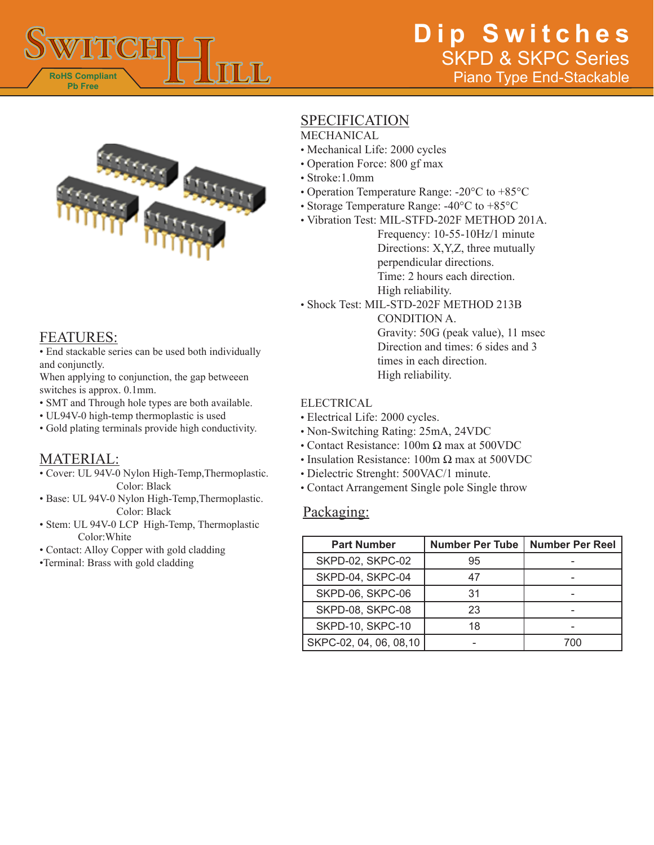



### FEATURES:

• End stackable series can be used both individually and conjunctly.

When applying to conjunction, the gap betweeen switches is approx. 0.1mm.

- SMT and Through hole types are both available.
- UL94V-0 high-temp thermoplastic is used
- Gold plating terminals provide high conductivity.

### MATERIAL:

• Cover: UL 94V-0 Nylon High-Temp,Thermoplastic. Color: Black

- Base: UL 94V-0 Nylon High-Temp,Thermoplastic. Color: Black
- Stem: UL 94V-0 LCP High-Temp, Thermoplastic Color:White
- Contact: Alloy Copper with gold cladding

•Terminal: Brass with gold cladding

## **SPECIFICATION**

- MECHANICAL
- Mechanical Life: 2000 cycles
- Operation Force: 800 gf max
- Stroke:1.0mm
- Operation Temperature Range: -20°C to +85°C
- Storage Temperature Range: -40°C to +85°C
- Vibration Test: MIL-STFD-202F METHOD 201A.

Frequency: 10-55-10Hz/1 minute Directions: X,Y,Z, three mutually perpendicular directions. Time: 2 hours each direction. High reliability.

• Shock Test: MIL-STD-202F METHOD 213B

CONDITION A. Gravity: 50G (peak value), 11 msec Direction and times: 6 sides and 3 times in each direction. High reliability.

#### ELECTRICAL

- Electrical Life: 2000 cycles.
- Non-Switching Rating: 25mA, 24VDC
- Contact Resistance:  $100m \Omega$  max at  $500VDC$
- Insulation Resistance: 100m  $\Omega$  max at 500VDC
- Dielectric Strenght: 500VAC/1 minute.
- Contact Arrangement Single pole Single throw

### Packaging:

| <b>Part Number</b>      | <b>Number Per Tube</b> | <b>Number Per Reel</b> |
|-------------------------|------------------------|------------------------|
| SKPD-02, SKPC-02        | 95                     |                        |
| SKPD-04, SKPC-04        | 47                     |                        |
| SKPD-06, SKPC-06        | 31                     |                        |
| SKPD-08, SKPC-08        | 23                     |                        |
| SKPD-10, SKPC-10        | 18                     |                        |
| SKPC-02, 04, 06, 08, 10 |                        | 700                    |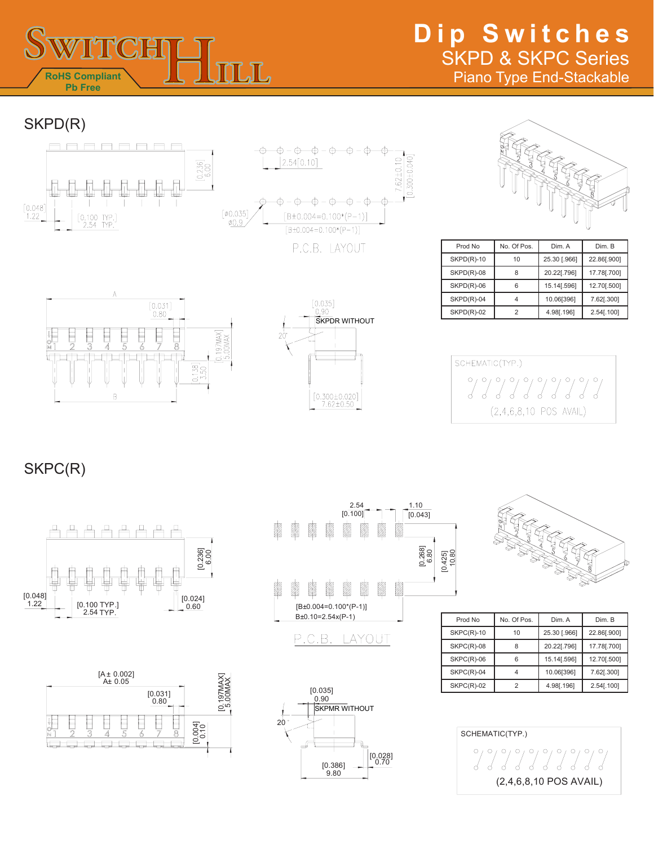

# **Dip Switches** SKPD & SKPC Series Piano Type End-Stackable

SKPD(R)





| Prod No      | No. Of Pos. | Dim. A       | Dim. B      |
|--------------|-------------|--------------|-------------|
| $SKPD(R)-10$ | 10          | 25.30 [.966] | 22.86[.900] |
| $SKPD(R)-08$ | 8           | 20.22[.796]  | 17.78[.700] |
| $SKPD(R)-06$ | 6           | 15.14[.596]  | 12.70[.500] |
| $SKPD(R)-04$ |             | 10.06[396]   | 7.62[.300]  |
| $SKPD(R)-02$ |             | 4.98[.196]   | 2.54[.100]  |





 $0.300 \pm 0.040$ 

 $7.62 \pm 0.10$ 

SCHEMATIC(TYP.) ??????????  $(2,4,6,8,10$  POS AVAIL)

SKPC(R)











| Prod No      | No. Of Pos. | Dim. A       | Dim. B      |
|--------------|-------------|--------------|-------------|
| $SKPC(R)-10$ | 10          | 25.30 [.966] | 22.86[.900] |
| SKPC(R)-08   | 8           | 20.22[.796]  | 17.78[.700] |
| $SKPC(R)-06$ | 6           | 15.14[.596]  | 12.70[.500] |
| $SKPC(R)-04$ |             | 10.06[396]   | 7.62[.300]  |
| $SKPC(R)-02$ | 2           | 4.98[.196]   | 2.54[.100]  |